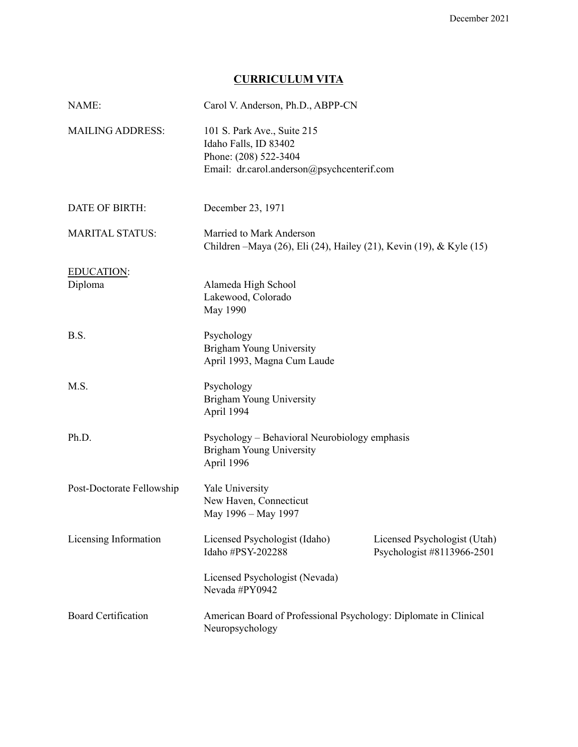## **CURRICULUM VITA**

| NAME:                      | Carol V. Anderson, Ph.D., ABPP-CN                                                                                           |                                                            |
|----------------------------|-----------------------------------------------------------------------------------------------------------------------------|------------------------------------------------------------|
| <b>MAILING ADDRESS:</b>    | 101 S. Park Ave., Suite 215<br>Idaho Falls, ID 83402<br>Phone: (208) 522-3404<br>Email: dr.carol.anderson@psychcenterif.com |                                                            |
| <b>DATE OF BIRTH:</b>      | December 23, 1971                                                                                                           |                                                            |
| <b>MARITAL STATUS:</b>     | Married to Mark Anderson<br>Children - Maya (26), Eli (24), Hailey (21), Kevin (19), & Kyle (15)                            |                                                            |
| EDUCATION:<br>Diploma      | Alameda High School<br>Lakewood, Colorado<br>May 1990                                                                       |                                                            |
| B.S.                       | Psychology<br><b>Brigham Young University</b><br>April 1993, Magna Cum Laude                                                |                                                            |
| M.S.                       | Psychology<br>Brigham Young University<br>April 1994                                                                        |                                                            |
| Ph.D.                      | Psychology - Behavioral Neurobiology emphasis<br>Brigham Young University<br>April 1996                                     |                                                            |
| Post-Doctorate Fellowship  | Yale University<br>New Haven, Connecticut<br>May 1996 - May 1997                                                            |                                                            |
| Licensing Information      | Licensed Psychologist (Idaho)<br>Idaho #PSY-202288                                                                          | Licensed Psychologist (Utah)<br>Psychologist #8113966-2501 |
|                            | Licensed Psychologist (Nevada)<br>Nevada #PY0942                                                                            |                                                            |
| <b>Board Certification</b> | American Board of Professional Psychology: Diplomate in Clinical<br>Neuropsychology                                         |                                                            |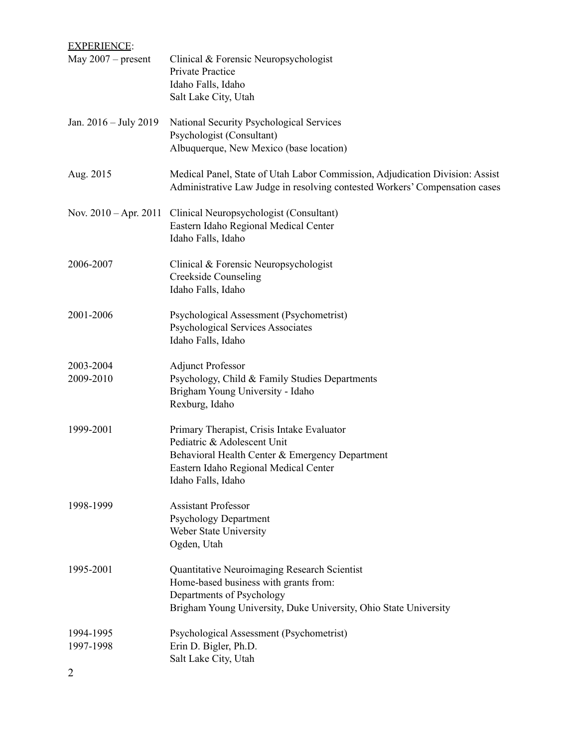| <b>EXPERIENCE:</b>                       |                                                                                                                                                                                               |
|------------------------------------------|-----------------------------------------------------------------------------------------------------------------------------------------------------------------------------------------------|
| May $2007$ – present                     | Clinical & Forensic Neuropsychologist<br>Private Practice<br>Idaho Falls, Idaho<br>Salt Lake City, Utah                                                                                       |
| Jan. 2016 – July 2019                    | National Security Psychological Services<br>Psychologist (Consultant)<br>Albuquerque, New Mexico (base location)                                                                              |
| Aug. 2015                                | Medical Panel, State of Utah Labor Commission, Adjudication Division: Assist<br>Administrative Law Judge in resolving contested Workers' Compensation cases                                   |
| Nov. $2010 - Apr. 2011$                  | Clinical Neuropsychologist (Consultant)<br>Eastern Idaho Regional Medical Center<br>Idaho Falls, Idaho                                                                                        |
| 2006-2007                                | Clinical & Forensic Neuropsychologist<br><b>Creekside Counseling</b><br>Idaho Falls, Idaho                                                                                                    |
| 2001-2006                                | Psychological Assessment (Psychometrist)<br><b>Psychological Services Associates</b><br>Idaho Falls, Idaho                                                                                    |
| 2003-2004<br>2009-2010                   | <b>Adjunct Professor</b><br>Psychology, Child & Family Studies Departments<br>Brigham Young University - Idaho<br>Rexburg, Idaho                                                              |
| 1999-2001                                | Primary Therapist, Crisis Intake Evaluator<br>Pediatric & Adolescent Unit<br>Behavioral Health Center & Emergency Department<br>Eastern Idaho Regional Medical Center<br>Idaho Falls, Idaho   |
| 1998-1999                                | <b>Assistant Professor</b><br><b>Psychology Department</b><br>Weber State University<br>Ogden, Utah                                                                                           |
| 1995-2001                                | <b>Quantitative Neuroimaging Research Scientist</b><br>Home-based business with grants from:<br>Departments of Psychology<br>Brigham Young University, Duke University, Ohio State University |
| 1994-1995<br>1997-1998<br>$\overline{2}$ | Psychological Assessment (Psychometrist)<br>Erin D. Bigler, Ph.D.<br>Salt Lake City, Utah                                                                                                     |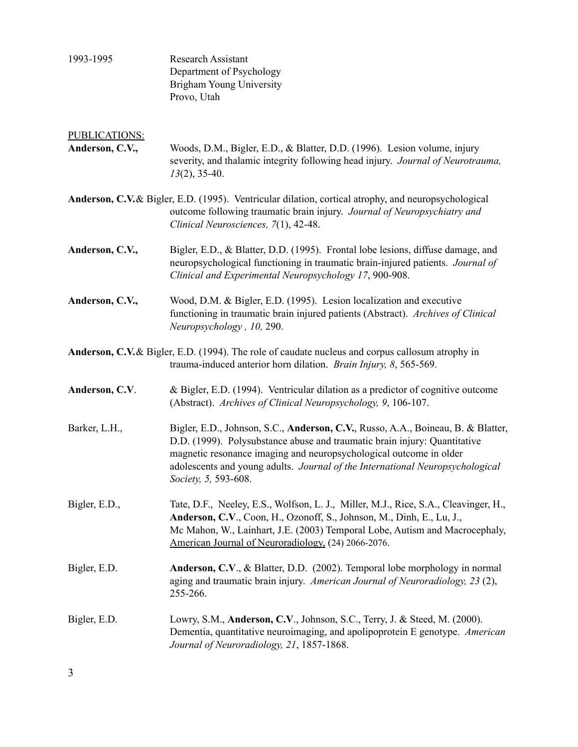1993-1995 Research Assistant Department of Psychology Brigham Young University Provo, Utah

# PUBLICATIONS: **Anderson, C.V.,** Woods, D.M., Bigler, E.D., & Blatter, D.D. (1996). Lesion volume, injury severity, and thalamic integrity following head injury. *Journal of Neurotrauma, 13*(2), 35-40. **Anderson, C.V.**& Bigler, E.D. (1995). Ventricular dilation, cortical atrophy, and neuropsychological outcome following traumatic brain injury. *Journal of Neuropsychiatry and Clinical Neurosciences, 7*(1), 42-48. **Anderson, C.V.,** Bigler, E.D., & Blatter, D.D. (1995). Frontal lobe lesions, diffuse damage, and neuropsychological functioning in traumatic brain-injured patients. *Journal of Clinical and Experimental Neuropsychology 17*, 900-908. **Anderson, C.V.,** Wood, D.M. & Bigler, E.D. (1995). Lesion localization and executive functioning in traumatic brain injured patients (Abstract). *Archives of Clinical Neuropsychology , 10,* 290. **Anderson, C.V.**& Bigler, E.D. (1994). The role of caudate nucleus and corpus callosum atrophy in trauma-induced anterior horn dilation. *Brain Injury, 8*, 565-569. **Anderson, C.V**. & Bigler, E.D. (1994). Ventricular dilation as a predictor of cognitive outcome (Abstract). *Archives of Clinical Neuropsychology, 9*, 106-107. Barker, L.H., Bigler, E.D., Johnson, S.C., **Anderson, C.V.**, Russo, A.A., Boineau, B. & Blatter, D.D. (1999). Polysubstance abuse and traumatic brain injury: Quantitative magnetic resonance imaging and neuropsychological outcome in older adolescents and young adults. *Journal of the International Neuropsychological Society, 5,* 593-608. Bigler, E.D., Tate, D.F., Neeley, E.S., Wolfson, L. J., Miller, M.J., Rice, S.A., Cleavinger, H., **Anderson, C.V**., Coon, H., Ozonoff, S., Johnson, M., Dinh, E., Lu, J., Mc Mahon, W., Lainhart, J.E. (2003) Temporal Lobe, Autism and Macrocephaly, American Journal of Neuroradiology, (24) 2066-2076. Bigler, E.D. **Anderson, C.V**., & Blatter, D.D. (2002). Temporal lobe morphology in normal aging and traumatic brain injury. *American Journal of Neuroradiology, 23* (2), 255-266. Bigler, E.D. Lowry, S.M., **Anderson, C.V**., Johnson, S.C., Terry, J. & Steed, M. (2000). Dementia, quantitative neuroimaging, and apolipoprotein E genotype. *American Journal of Neuroradiology, 21*, 1857-1868.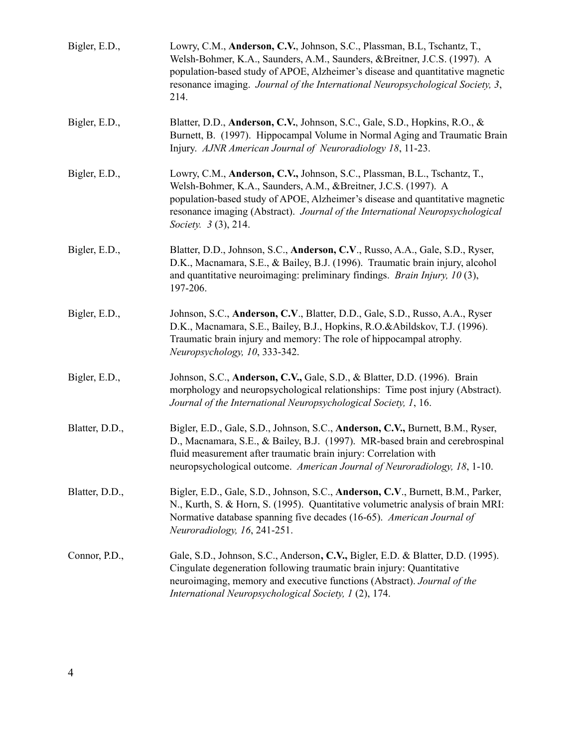| Bigler, E.D.,  | Lowry, C.M., Anderson, C.V., Johnson, S.C., Plassman, B.L, Tschantz, T.,<br>Welsh-Bohmer, K.A., Saunders, A.M., Saunders, &Breitner, J.C.S. (1997). A<br>population-based study of APOE, Alzheimer's disease and quantitative magnetic<br>resonance imaging. Journal of the International Neuropsychological Society, 3,<br>214.       |
|----------------|----------------------------------------------------------------------------------------------------------------------------------------------------------------------------------------------------------------------------------------------------------------------------------------------------------------------------------------|
| Bigler, E.D.,  | Blatter, D.D., Anderson, C.V., Johnson, S.C., Gale, S.D., Hopkins, R.O., &<br>Burnett, B. (1997). Hippocampal Volume in Normal Aging and Traumatic Brain<br>Injury. AJNR American Journal of Neuroradiology 18, 11-23.                                                                                                                 |
| Bigler, E.D.,  | Lowry, C.M., Anderson, C.V., Johnson, S.C., Plassman, B.L., Tschantz, T.,<br>Welsh-Bohmer, K.A., Saunders, A.M., &Breitner, J.C.S. (1997). A<br>population-based study of APOE, Alzheimer's disease and quantitative magnetic<br>resonance imaging (Abstract). Journal of the International Neuropsychological<br>Society. 3 (3), 214. |
| Bigler, E.D.,  | Blatter, D.D., Johnson, S.C., Anderson, C.V., Russo, A.A., Gale, S.D., Ryser,<br>D.K., Macnamara, S.E., & Bailey, B.J. (1996). Traumatic brain injury, alcohol<br>and quantitative neuroimaging: preliminary findings. <i>Brain Injury</i> , $10(3)$ ,<br>197-206.                                                                     |
| Bigler, E.D.,  | Johnson, S.C., Anderson, C.V., Blatter, D.D., Gale, S.D., Russo, A.A., Ryser<br>D.K., Macnamara, S.E., Bailey, B.J., Hopkins, R.O.&Abildskov, T.J. (1996).<br>Traumatic brain injury and memory: The role of hippocampal atrophy.<br>Neuropsychology, 10, 333-342.                                                                     |
| Bigler, E.D.,  | Johnson, S.C., Anderson, C.V., Gale, S.D., & Blatter, D.D. (1996). Brain<br>morphology and neuropsychological relationships: Time post injury (Abstract).<br>Journal of the International Neuropsychological Society, 1, 16.                                                                                                           |
| Blatter, D.D., | Bigler, E.D., Gale, S.D., Johnson, S.C., Anderson, C.V., Burnett, B.M., Ryser,<br>D., Macnamara, S.E., & Bailey, B.J. (1997). MR-based brain and cerebrospinal<br>fluid measurement after traumatic brain injury: Correlation with<br>neuropsychological outcome. American Journal of Neuroradiology, 18, 1-10.                        |
| Blatter, D.D., | Bigler, E.D., Gale, S.D., Johnson, S.C., Anderson, C.V., Burnett, B.M., Parker,<br>N., Kurth, S. & Horn, S. (1995). Quantitative volumetric analysis of brain MRI:<br>Normative database spanning five decades (16-65). American Journal of<br>Neuroradiology, 16, 241-251.                                                            |
| Connor, P.D.,  | Gale, S.D., Johnson, S.C., Anderson, C.V., Bigler, E.D. & Blatter, D.D. (1995).<br>Cingulate degeneration following traumatic brain injury: Quantitative<br>neuroimaging, memory and executive functions (Abstract). Journal of the<br>International Neuropsychological Society, 1 (2), 174.                                           |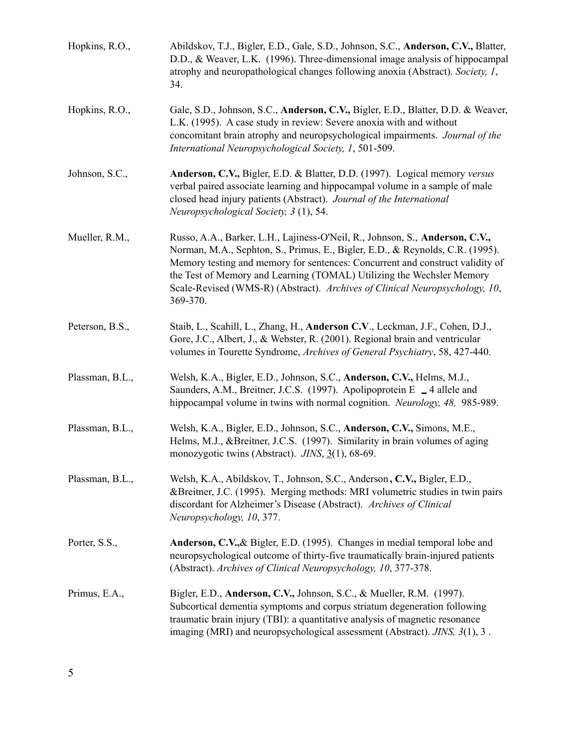| Hopkins, R.O.,  | Abildskov, T.J., Bigler, E.D., Gale, S.D., Johnson, S.C., Anderson, C.V., Blatter,<br>D.D., & Weaver, L.K. (1996). Three-dimensional image analysis of hippocampal<br>atrophy and neuropathological changes following anoxia (Abstract). Society, 1,<br>34.                                                                                                                                                        |
|-----------------|--------------------------------------------------------------------------------------------------------------------------------------------------------------------------------------------------------------------------------------------------------------------------------------------------------------------------------------------------------------------------------------------------------------------|
| Hopkins, R.O.,  | Gale, S.D., Johnson, S.C., Anderson, C.V., Bigler, E.D., Blatter, D.D. & Weaver,<br>L.K. (1995). A case study in review: Severe anoxia with and without<br>concomitant brain atrophy and neuropsychological impairments. Journal of the<br>International Neuropsychological Society, 1, 501-509.                                                                                                                   |
| Johnson, S.C.,  | Anderson, C.V., Bigler, E.D. & Blatter, D.D. (1997). Logical memory versus<br>verbal paired associate learning and hippocampal volume in a sample of male<br>closed head injury patients (Abstract). Journal of the International<br>Neuropsychological Society, 3 (1), 54.                                                                                                                                        |
| Mueller, R.M.,  | Russo, A.A., Barker, L.H., Lajiness-O'Neil, R., Johnson, S., Anderson, C.V.,<br>Norman, M.A., Sephton, S., Primus, E., Bigler, E.D., & Reynolds, C.R. (1995).<br>Memory testing and memory for sentences: Concurrent and construct validity of<br>the Test of Memory and Learning (TOMAL) Utilizing the Wechsler Memory<br>Scale-Revised (WMS-R) (Abstract). Archives of Clinical Neuropsychology, 10,<br>369-370. |
| Peterson, B.S., | Staib, L., Scahill, L., Zhang, H., Anderson C.V., Leckman, J.F., Cohen, D.J.,<br>Gore, J.C., Albert, J., & Webster, R. (2001). Regional brain and ventricular<br>volumes in Tourette Syndrome, Archives of General Psychiatry, 58, 427-440.                                                                                                                                                                        |
| Plassman, B.L., | Welsh, K.A., Bigler, E.D., Johnson, S.C., Anderson, C.V., Helms, M.J.,<br>Saunders, A.M., Breitner, J.C.S. (1997). Apolipoprotein E _4 allele and<br>hippocampal volume in twins with normal cognition. Neurology, 48, 985-989.                                                                                                                                                                                    |
| Plassman, B.L., | Welsh, K.A., Bigler, E.D., Johnson, S.C., Anderson, C.V., Simons, M.E.,<br>Helms, M.J., &Breitner, J.C.S. (1997). Similarity in brain volumes of aging<br>monozygotic twins (Abstract). JINS, 3(1), 68-69.                                                                                                                                                                                                         |
| Plassman, B.L., | Welsh, K.A., Abildskov, T., Johnson, S.C., Anderson, C.V., Bigler, E.D.,<br>&Breitner, J.C. (1995). Merging methods: MRI volumetric studies in twin pairs<br>discordant for Alzheimer's Disease (Abstract). Archives of Clinical<br>Neuropsychology, 10, 377.                                                                                                                                                      |
| Porter, S.S.,   | Anderson, C.V., & Bigler, E.D. (1995). Changes in medial temporal lobe and<br>neuropsychological outcome of thirty-five traumatically brain-injured patients<br>(Abstract). Archives of Clinical Neuropsychology, 10, 377-378.                                                                                                                                                                                     |
| Primus, E.A.,   | Bigler, E.D., Anderson, C.V., Johnson, S.C., & Mueller, R.M. (1997).<br>Subcortical dementia symptoms and corpus striatum degeneration following<br>traumatic brain injury (TBI): a quantitative analysis of magnetic resonance<br>imaging (MRI) and neuropsychological assessment (Abstract). JINS, 3(1), 3.                                                                                                      |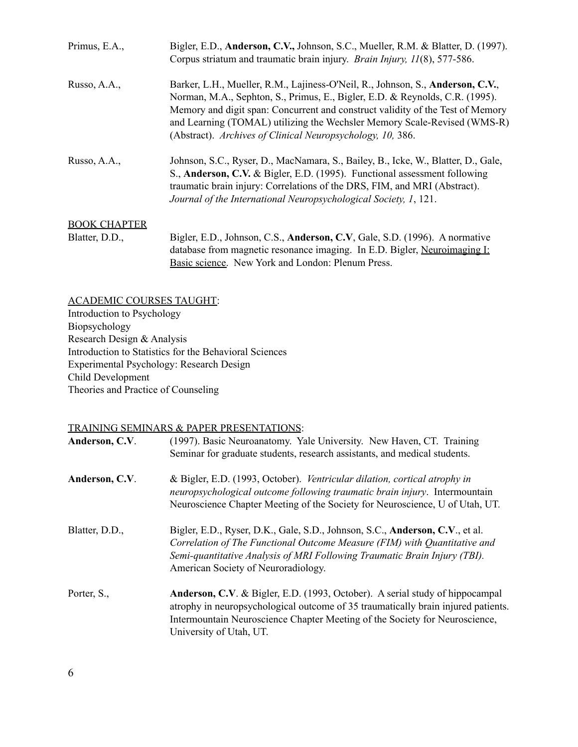| Primus, E.A.,       | Bigler, E.D., <b>Anderson, C.V.</b> , Johnson, S.C., Mueller, R.M. & Blatter, D. (1997).<br>Corpus striatum and traumatic brain injury. <i>Brain Injury</i> , <i>II</i> (8), 577-586.                                                                                                                                                                                                      |
|---------------------|--------------------------------------------------------------------------------------------------------------------------------------------------------------------------------------------------------------------------------------------------------------------------------------------------------------------------------------------------------------------------------------------|
| Russo, A.A.,        | Barker, L.H., Mueller, R.M., Lajiness-O'Neil, R., Johnson, S., Anderson, C.V.,<br>Norman, M.A., Sephton, S., Primus, E., Bigler, E.D. & Reynolds, C.R. (1995).<br>Memory and digit span: Concurrent and construct validity of the Test of Memory<br>and Learning (TOMAL) utilizing the Wechsler Memory Scale-Revised (WMS-R)<br>(Abstract). Archives of Clinical Neuropsychology, 10, 386. |
| Russo, A.A.,        | Johnson, S.C., Ryser, D., MacNamara, S., Bailey, B., Icke, W., Blatter, D., Gale,<br>S., Anderson, C.V. & Bigler, E.D. (1995). Functional assessment following<br>traumatic brain injury: Correlations of the DRS, FIM, and MRI (Abstract).<br>Journal of the International Neuropsychological Society, 1, 121.                                                                            |
| <b>BOOK CHAPTER</b> |                                                                                                                                                                                                                                                                                                                                                                                            |

Blatter, D.D., Bigler, E.D., Johnson, C.S., **Anderson, C.V**, Gale, S.D. (1996). A normative database from magnetic resonance imaging. In E.D. Bigler, Neuroimaging I: Basic science. New York and London: Plenum Press.

ACADEMIC COURSES TAUGHT: Introduction to Psychology Biopsychology Research Design & Analysis Introduction to Statistics for the Behavioral Sciences Experimental Psychology: Research Design Child Development Theories and Practice of Counseling

### TRAINING SEMINARS & PAPER PRESENTATIONS:

| Anderson, C.V. | (1997). Basic Neuroanatomy. Yale University. New Haven, CT. Training<br>Seminar for graduate students, research assistants, and medical students.                                                                                                                             |
|----------------|-------------------------------------------------------------------------------------------------------------------------------------------------------------------------------------------------------------------------------------------------------------------------------|
| Anderson, C.V. | & Bigler, E.D. (1993, October). Ventricular dilation, cortical atrophy in<br>neuropsychological outcome following traumatic brain injury. Intermountain<br>Neuroscience Chapter Meeting of the Society for Neuroscience, U of Utah, UT.                                       |
| Blatter, D.D., | Bigler, E.D., Ryser, D.K., Gale, S.D., Johnson, S.C., Anderson, C.V., et al.<br>Correlation of The Functional Outcome Measure (FIM) with Quantitative and<br>Semi-quantitative Analysis of MRI Following Traumatic Brain Injury (TBI).<br>American Society of Neuroradiology. |
| Porter, S.,    | Anderson, C.V. & Bigler, E.D. (1993, October). A serial study of hippocampal<br>atrophy in neuropsychological outcome of 35 traumatically brain injured patients.<br>Intermountain Neuroscience Chapter Meeting of the Society for Neuroscience,<br>University of Utah, UT.   |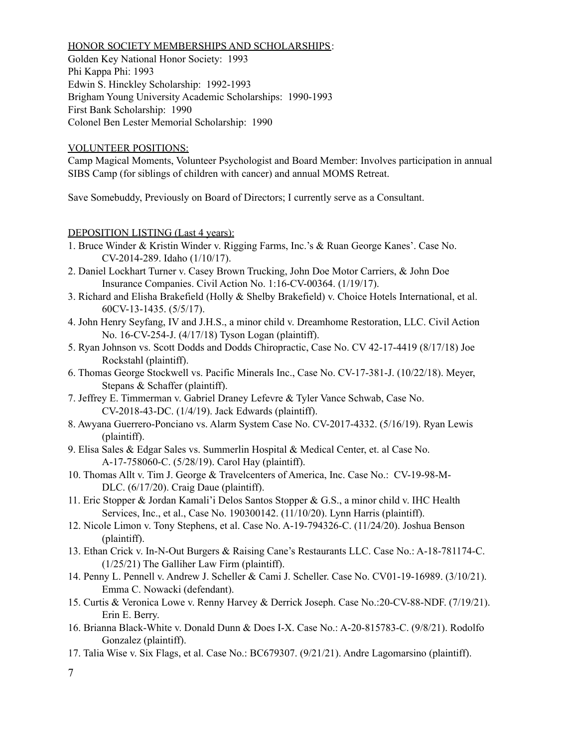#### HONOR SOCIETY MEMBERSHIPS AND SCHOLARSHIPS:

Golden Key National Honor Society: 1993 Phi Kappa Phi: 1993 Edwin S. Hinckley Scholarship: 1992-1993 Brigham Young University Academic Scholarships: 1990-1993 First Bank Scholarship: 1990 Colonel Ben Lester Memorial Scholarship: 1990

### VOLUNTEER POSITIONS:

Camp Magical Moments, Volunteer Psychologist and Board Member: Involves participation in annual SIBS Camp (for siblings of children with cancer) and annual MOMS Retreat.

Save Somebuddy, Previously on Board of Directors; I currently serve as a Consultant.

DEPOSITION LISTING (Last 4 years):

- 1. Bruce Winder & Kristin Winder v. Rigging Farms, Inc.'s & Ruan George Kanes'. Case No. CV-2014-289. Idaho (1/10/17).
- 2. Daniel Lockhart Turner v. Casey Brown Trucking, John Doe Motor Carriers, & John Doe Insurance Companies. Civil Action No. 1:16-CV-00364. (1/19/17).
- 3. Richard and Elisha Brakefield (Holly & Shelby Brakefield) v. Choice Hotels International, et al. 60CV-13-1435. (5/5/17).
- 4. John Henry Seyfang, IV and J.H.S., a minor child v. Dreamhome Restoration, LLC. Civil Action No. 16-CV-254-J. (4/17/18) Tyson Logan (plaintiff).
- 5. Ryan Johnson vs. Scott Dodds and Dodds Chiropractic, Case No. CV 42-17-4419 (8/17/18) Joe Rockstahl (plaintiff).
- 6. Thomas George Stockwell vs. Pacific Minerals Inc., Case No. CV-17-381-J. (10/22/18). Meyer, Stepans & Schaffer (plaintiff).
- 7. Jeffrey E. Timmerman v. Gabriel Draney Lefevre & Tyler Vance Schwab, Case No. CV-2018-43-DC. (1/4/19). Jack Edwards (plaintiff).
- 8. Awyana Guerrero-Ponciano vs. Alarm System Case No. CV-2017-4332. (5/16/19). Ryan Lewis (plaintiff).
- 9. Elisa Sales & Edgar Sales vs. Summerlin Hospital & Medical Center, et. al Case No. A-17-758060-C. (5/28/19). Carol Hay (plaintiff).
- 10. Thomas Allt v. Tim J. George & Travelcenters of America, Inc. Case No.: CV-19-98-M-DLC. (6/17/20). Craig Daue (plaintiff).
- 11. Eric Stopper & Jordan Kamali'i Delos Santos Stopper & G.S., a minor child v. IHC Health Services, Inc., et al., Case No. 190300142. (11/10/20). Lynn Harris (plaintiff).
- 12. Nicole Limon v. Tony Stephens, et al. Case No. A-19-794326-C. (11/24/20). Joshua Benson (plaintiff).
- 13. Ethan Crick v. In-N-Out Burgers & Raising Cane's Restaurants LLC. Case No.: A-18-781174-C. (1/25/21) The Galliher Law Firm (plaintiff).
- 14. Penny L. Pennell v. Andrew J. Scheller & Cami J. Scheller. Case No. CV01-19-16989. (3/10/21). Emma C. Nowacki (defendant).
- 15. Curtis & Veronica Lowe v. Renny Harvey & Derrick Joseph. Case No.:20-CV-88-NDF. (7/19/21). Erin E. Berry.
- 16. Brianna Black-White v. Donald Dunn & Does I-X. Case No.: A-20-815783-C. (9/8/21). Rodolfo Gonzalez (plaintiff).
- 17. Talia Wise v. Six Flags, et al. Case No.: BC679307. (9/21/21). Andre Lagomarsino (plaintiff).

<sup>7</sup>